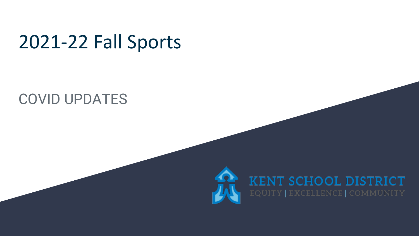## 2021-22 Fall Sports

### COVID UPDATES



# **KENT SCHOOL DISTRICT**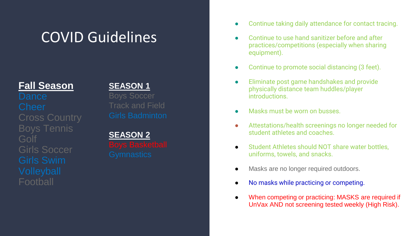## COVID Guidelines

### **Fall Season**

Boys Tennis Golf Girls Soccer Football

### **SEASON 1**

Boys Soccer Track and Field

**SEASON 2**

- Continue taking daily attendance for contact tracing.
- Continue to use hand sanitizer before and after practices/competitions (especially when sharing equipment).
- Continue to promote social distancing (3 feet).
- Eliminate post game handshakes and provide physically distance team huddles/player introductions.
- Masks must be worn on busses.
- Attestations/health screenings no longer needed for student athletes and coaches.
- Student Athletes should NOT share water bottles. uniforms, towels, and snacks.
- Masks are no longer required outdoors.
- No masks while practicing or competing.
- When competing or practicing: MASKS are required if UnVax AND not screening tested weekly (High Risk).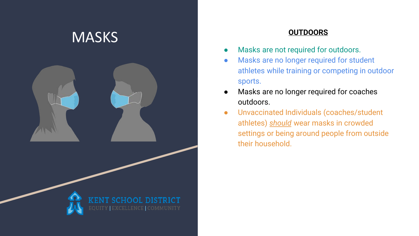

- Masks are not required for outdoors.
- Masks are no longer required for student athletes while training or competing in outdoor sports.
- Masks are no longer required for coaches outdoors.
- Unvaccinated Individuals (coaches/student athletes) *should* wear masks in crowded settings or being around people from outside their household.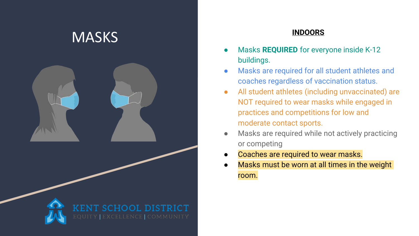

- **•** Masks **REQUIRED** for everyone inside K-12 buildings.
- Masks are required for all student athletes and coaches regardless of vaccination status.
- All student athletes (including unvaccinated) are NOT required to wear masks while engaged in practices and competitions for low and moderate contact sports.
- Masks are required while not actively practicing or competing
- Coaches are required to wear masks.
- Masks must be worn at all times in the weight room.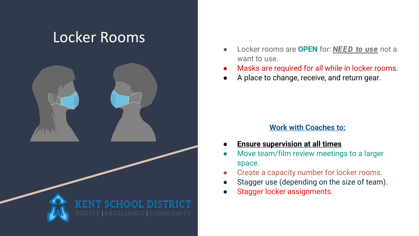### Locker Rooms



- Locker rooms are **OPEN** for: *NEED to use* not a want to use.
- Masks are required for all while in locker rooms.
- A place to change, receive, and return gear.

### **Work with Coaches to:**

- **Ensure supervision at all times**
- Move team/film review meetings to a larger space.
- Create a capacity number for locker rooms.
- Stagger use (depending on the size of team).
- Stagger locker assignments.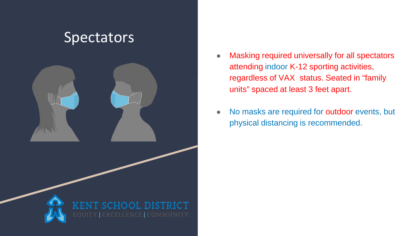### **Spectators**



- Masking required universally for all spectators attending indoor K-12 sporting activities, regardless of VAX status. Seated in "family units" spaced at least 3 feet apart.
- No masks are required for outdoor events, but physical distancing is recommended.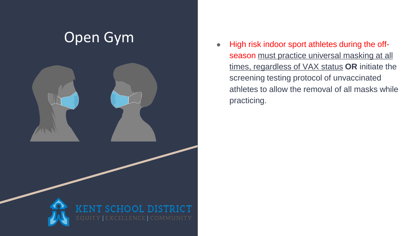## Open Gym



● High risk indoor sport athletes during the off season must practice universal masking at all times, regardless of VAX status **OR** initiate the screening testing protocol of unvaccinated athletes to allow the removal of all masks while practicing.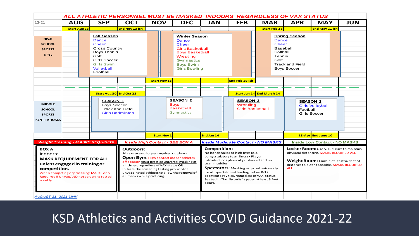| $12 - 21$                                                                                                                                                                                                                                        | <b>AUG</b>                                                                                | <b>SEP</b>                                                                                                                                                       |                                        |                                                                                                                                                                                                                                                                                                           | ALL ATHLETIC PERSONNEL MUST BE MASKED INDOORS REGARDLESS OF VAX STATUS                                                                                                           |                                           |                                                                                                                                                                                                                                                                                                                                                                       |                                                                        |                                                                        |                                                                                                                                                                                                      |     |  |  |  |  |  |
|--------------------------------------------------------------------------------------------------------------------------------------------------------------------------------------------------------------------------------------------------|-------------------------------------------------------------------------------------------|------------------------------------------------------------------------------------------------------------------------------------------------------------------|----------------------------------------|-----------------------------------------------------------------------------------------------------------------------------------------------------------------------------------------------------------------------------------------------------------------------------------------------------------|----------------------------------------------------------------------------------------------------------------------------------------------------------------------------------|-------------------------------------------|-----------------------------------------------------------------------------------------------------------------------------------------------------------------------------------------------------------------------------------------------------------------------------------------------------------------------------------------------------------------------|------------------------------------------------------------------------|------------------------------------------------------------------------|------------------------------------------------------------------------------------------------------------------------------------------------------------------------------------------------------|-----|--|--|--|--|--|
|                                                                                                                                                                                                                                                  |                                                                                           |                                                                                                                                                                  | <b>OCT</b>                             | <b>NOV</b>                                                                                                                                                                                                                                                                                                | <b>DEC</b>                                                                                                                                                                       | <b>JAN</b>                                | <b>FEB</b>                                                                                                                                                                                                                                                                                                                                                            | <b>MAR</b>                                                             | <b>APR</b>                                                             | <b>MAY</b>                                                                                                                                                                                           | JUN |  |  |  |  |  |
|                                                                                                                                                                                                                                                  | <b>Start Aug 23</b>                                                                       |                                                                                                                                                                  | End Nov 13 ish                         |                                                                                                                                                                                                                                                                                                           |                                                                                                                                                                                  |                                           |                                                                                                                                                                                                                                                                                                                                                                       | <b>Start Feb 28</b>                                                    |                                                                        | End May 21 ish                                                                                                                                                                                       |     |  |  |  |  |  |
| <b>HIGH</b><br><b>SCHOOL</b><br><b>SPORTS</b><br><b>NPSL</b>                                                                                                                                                                                     |                                                                                           | <b>Fall Season</b><br>Dance<br><b>Cheer</b><br><b>Cross Country</b><br><b>Boys Tennis</b><br>Golf<br>Girls Soccer<br><b>Girls Swim</b><br>Volleyball<br>Football |                                        |                                                                                                                                                                                                                                                                                                           | <b>Winter Season</b><br><b>Dance</b><br><b>Cheer</b><br><b>Girls Basketball</b><br><b>Boys Basketball</b><br>Wrestling<br>Gymnastics<br><b>Boys Swim</b><br><b>Girls Bowling</b> |                                           |                                                                                                                                                                                                                                                                                                                                                                       | <b>Dance</b><br><b>Cheer</b><br>Baseball<br>Softball<br>Tennis<br>Golf | <b>Spring Season</b><br><b>Track and Field</b><br><b>Boys Soccer</b>   |                                                                                                                                                                                                      |     |  |  |  |  |  |
|                                                                                                                                                                                                                                                  |                                                                                           |                                                                                                                                                                  |                                        | <b>Start Nov 15</b>                                                                                                                                                                                                                                                                                       |                                                                                                                                                                                  |                                           | End Feb 19 ish                                                                                                                                                                                                                                                                                                                                                        |                                                                        |                                                                        |                                                                                                                                                                                                      |     |  |  |  |  |  |
|                                                                                                                                                                                                                                                  |                                                                                           | Start Aug 30 End Oct 22                                                                                                                                          |                                        |                                                                                                                                                                                                                                                                                                           | <b>SEASON 2</b>                                                                                                                                                                  |                                           | <b>SEASON 3</b>                                                                                                                                                                                                                                                                                                                                                       | Start Jan 24 End March 24                                              |                                                                        |                                                                                                                                                                                                      |     |  |  |  |  |  |
| <b>MIDDLE</b><br><b>SCHOOL</b><br><b>SPORTS</b><br><b>KENT-TAHOMA</b>                                                                                                                                                                            | <b>SEASON 1</b><br><b>Boys Soccer</b><br><b>Track and Field</b><br><b>Girls Badminton</b> |                                                                                                                                                                  |                                        |                                                                                                                                                                                                                                                                                                           | <b>Boys</b><br><b>Basketball</b><br><b>Gymnastics</b>                                                                                                                            |                                           | Wrestling<br><b>Girls Basketball</b>                                                                                                                                                                                                                                                                                                                                  |                                                                        | <b>SEASON 2</b><br><b>Girls Volleyball</b><br>Football<br>Girls Soccer |                                                                                                                                                                                                      |     |  |  |  |  |  |
|                                                                                                                                                                                                                                                  |                                                                                           |                                                                                                                                                                  |                                        | <b>Start Nov 1</b>                                                                                                                                                                                                                                                                                        |                                                                                                                                                                                  | End Jan 14                                |                                                                                                                                                                                                                                                                                                                                                                       |                                                                        |                                                                        | 18-Apr End June 10                                                                                                                                                                                   |     |  |  |  |  |  |
| <b>Weight Training - MASKS REQUIRED!</b>                                                                                                                                                                                                         |                                                                                           |                                                                                                                                                                  | <b>Inside High Contact - SEE BOX A</b> |                                                                                                                                                                                                                                                                                                           |                                                                                                                                                                                  | <b>Inside Moderate Contact - NO MASKS</b> |                                                                                                                                                                                                                                                                                                                                                                       |                                                                        | <b>Inside Low Contact - NO MASKS</b>                                   |                                                                                                                                                                                                      |     |  |  |  |  |  |
| <b>BOX A</b><br>Indoors:<br><b>MASK REQUIREMENT FOR ALL</b><br>unless engaged in training or<br>competition.<br>When competing or practicing: MASKS only<br>Required if UnVax AND not screening tested<br>weekly.<br><b>AUGUST 11, 2021 LINK</b> |                                                                                           |                                                                                                                                                                  | Outdoors:                              | Masks are no longer required outdoors.<br>Open Gym. High contact indoor athletes<br>off-season must practice universal masking at<br>all times, regardless of VAX status OR<br>Initiate the screening testing protocol of<br>unvaccinated athletes to allow the removal of<br>all masks while practicing. |                                                                                                                                                                                  |                                           | <b>Competition:</b><br>No handshakes or high fives (e.g.,<br>congratulatory team lines) . Player<br>introductions physically distanced and no<br>team huddles.<br>Spectators: Masking required universally<br>for all spectators attending indoor K-12<br>sporting activities, regardless of VAX status.<br>Seated in "family units" spaced at least 3 feet<br>apart. |                                                                        |                                                                        | <b>Locker Room:</b> Use Visual cues to maintain<br>physical distancing. MASKS REQUIRED-ALL<br>Weight Room: Enable at least six feet of<br>distance to extent possible. MASKS REQUIRED-<br><b>ALL</b> |     |  |  |  |  |  |

### KSD Athletics and Activities COVID Guidance 2021-22